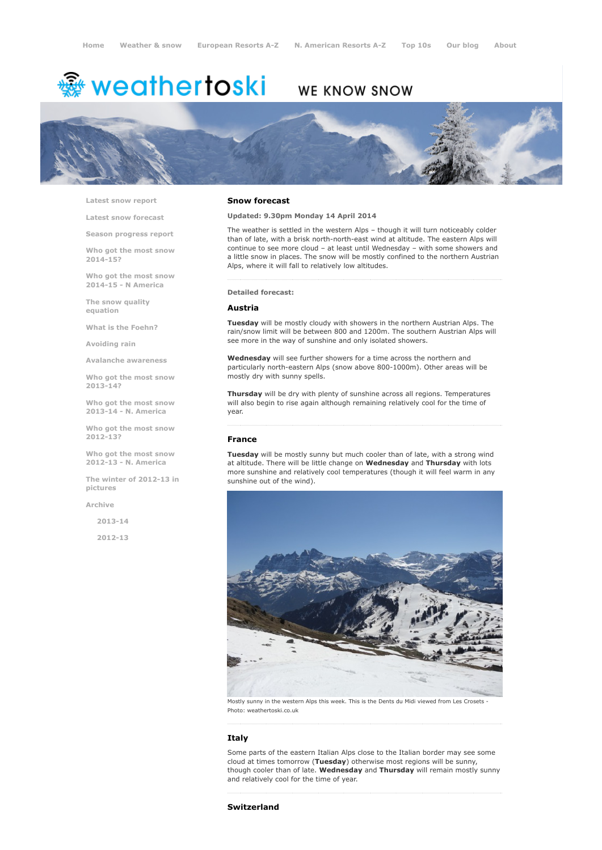# <del>鑾</del> weathertoski

# WE KNOW SNOW



Latest snow [report](http://www.weathertoski.co.uk/weather-snow/latest-snow-report/)

Latest snow [forecast](http://www.weathertoski.co.uk/weather-snow/latest-snow-forecast/)

Season [progress](http://www.weathertoski.co.uk/weather-snow/season-progress-report/) report

Who got the most snow 2014-15?

Who got the most snow 2014-15 - N America

The snow quality [equation](http://www.weathertoski.co.uk/weather-snow/the-snow-quality-equation/)

What is the [Foehn?](http://www.weathertoski.co.uk/weather-snow/what-is-the-foehn/)

[Avoiding](http://www.weathertoski.co.uk/weather-snow/avoiding-rain/) rain

Avalanche [awareness](http://www.weathertoski.co.uk/weather-snow/avalanche-awareness/)

Who got the most snow 2013-14?

Who got the most snow 2013-14 - N. America

Who got the most snow 2012-13?

Who got the most snow 2012-13 - N. America

The winter of 2012-13 in pictures

[Archive](http://www.weathertoski.co.uk/weather-snow/archive/)

2013-14

2012-13

#### Snow forecast

### Updated: 9.30pm Monday 14 April 2014

The weather is settled in the western Alps – though it will turn noticeably colder than of late, with a brisk north-north-east wind at altitude. The eastern Alps will continue to see more cloud – at least until Wednesday – with some showers and a little snow in places. The snow will be mostly confined to the northern Austrian Alps, where it will fall to relatively low altitudes.

#### Detailed forecast:

#### Austria

Tuesday will be mostly cloudy with showers in the northern Austrian Alps. The rain/snow limit will be between 800 and 1200m. The southern Austrian Alps will see more in the way of sunshine and only isolated showers.

Wednesday will see further showers for a time across the northern and particularly north-eastern Alps (snow above 800-1000m). Other areas will be mostly dry with sunny spells.

Thursday will be dry with plenty of sunshine across all regions. Temperatures will also begin to rise again although remaining relatively cool for the time of year.

#### France

Tuesday will be mostly sunny but much cooler than of late, with a strong wind at altitude. There will be little change on Wednesday and Thursday with lots more sunshine and relatively cool temperatures (though it will feel warm in any sunshine out of the wind).



Mostly sunny in the western Alps this week. This is the Dents du Midi viewed from Les Crosets Photo: weathertoski.co.uk

# Italy

Some parts of the eastern Italian Alps close to the Italian border may see some cloud at times tomorrow (Tuesday) otherwise most regions will be sunny, though cooler than of late. Wednesday and Thursday will remain mostly sunny and relatively cool for the time of year.

#### Switzerland